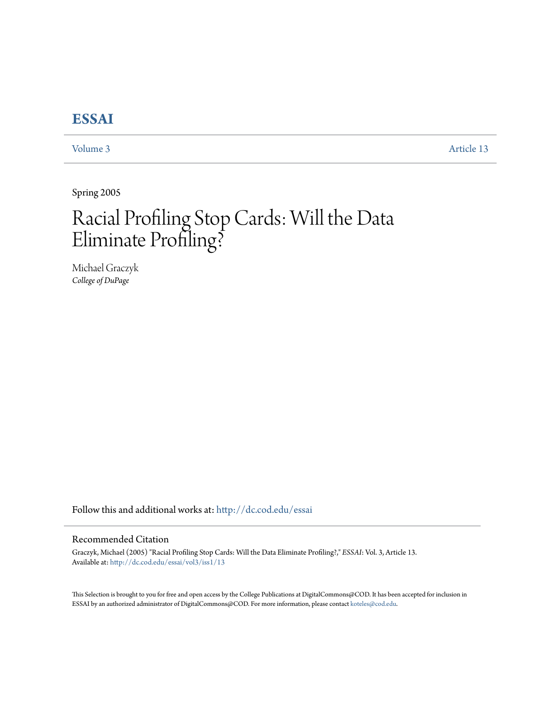# **[ESSAI](http://dc.cod.edu/essai?utm_source=dc.cod.edu%2Fessai%2Fvol3%2Fiss1%2F13&utm_medium=PDF&utm_campaign=PDFCoverPages)**

[Volume 3](http://dc.cod.edu/essai/vol3?utm_source=dc.cod.edu%2Fessai%2Fvol3%2Fiss1%2F13&utm_medium=PDF&utm_campaign=PDFCoverPages) [Article 13](http://dc.cod.edu/essai/vol3/iss1/13?utm_source=dc.cod.edu%2Fessai%2Fvol3%2Fiss1%2F13&utm_medium=PDF&utm_campaign=PDFCoverPages)

Spring 2005

# Racial Profiling Stop Cards: Will the Data Eliminate Profiling?

Michael Graczyk *College of DuPage*

Follow this and additional works at: [http://dc.cod.edu/essai](http://dc.cod.edu/essai?utm_source=dc.cod.edu%2Fessai%2Fvol3%2Fiss1%2F13&utm_medium=PDF&utm_campaign=PDFCoverPages)

#### Recommended Citation

Graczyk, Michael (2005) "Racial Profiling Stop Cards: Will the Data Eliminate Profiling?," *ESSAI*: Vol. 3, Article 13. Available at: [http://dc.cod.edu/essai/vol3/iss1/13](http://dc.cod.edu/essai/vol3/iss1/13?utm_source=dc.cod.edu%2Fessai%2Fvol3%2Fiss1%2F13&utm_medium=PDF&utm_campaign=PDFCoverPages)

This Selection is brought to you for free and open access by the College Publications at DigitalCommons@COD. It has been accepted for inclusion in ESSAI by an authorized administrator of DigitalCommons@COD. For more information, please contact [koteles@cod.edu](mailto:koteles@cod.edu).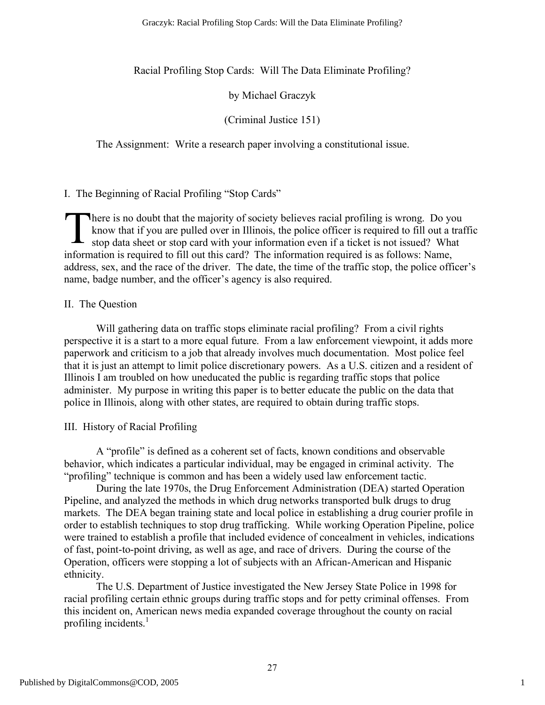Racial Profiling Stop Cards: Will The Data Eliminate Profiling?

by Michael Graczyk

(Criminal Justice 151)

The Assignment: Write a research paper involving a constitutional issue.

I. The Beginning of Racial Profiling "Stop Cards"

here is no doubt that the majority of society believes racial profiling is wrong. Do you know that if you are pulled over in Illinois, the police officer is required to fill out a traffic stop data sheet or stop card with your information even if a ticket is not issued? What information is required to fill out this card? The information required is as follows: Name, address, sex, and the race of the driver. The date, the time of the traffic stop, the police officer's name, badge number, and the officer's agency is also required. T

# II. The Question

Will gathering data on traffic stops eliminate racial profiling? From a civil rights perspective it is a start to a more equal future. From a law enforcement viewpoint, it adds more paperwork and criticism to a job that already involves much documentation. Most police feel that it is just an attempt to limit police discretionary powers. As a U.S. citizen and a resident of Illinois I am troubled on how uneducated the public is regarding traffic stops that police administer. My purpose in writing this paper is to better educate the public on the data that police in Illinois, along with other states, are required to obtain during traffic stops.

III. History of Racial Profiling

A "profile" is defined as a coherent set of facts, known conditions and observable behavior, which indicates a particular individual, may be engaged in criminal activity. The "profiling" technique is common and has been a widely used law enforcement tactic.

During the late 1970s, the Drug Enforcement Administration (DEA) started Operation Pipeline, and analyzed the methods in which drug networks transported bulk drugs to drug markets. The DEA began training state and local police in establishing a drug courier profile in order to establish techniques to stop drug trafficking. While working Operation Pipeline, police were trained to establish a profile that included evidence of concealment in vehicles, indications of fast, point-to-point driving, as well as age, and race of drivers. During the course of the Operation, officers were stopping a lot of subjects with an African-American and Hispanic ethnicity.

The U.S. Department of Justice investigated the New Jersey State Police in 1998 for racial profiling certain ethnic groups during traffic stops and for petty criminal offenses. From this incident on, American news media expanded coverage throughout the county on racial profiling incidents.<sup>1</sup>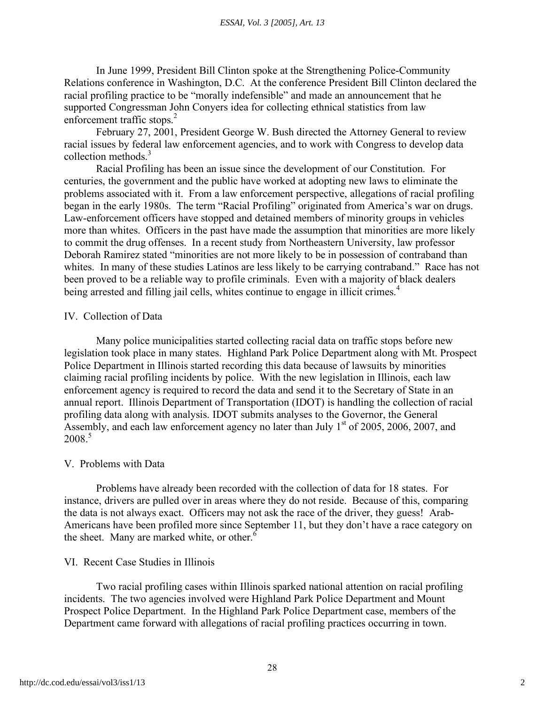In June 1999, President Bill Clinton spoke at the Strengthening Police-Community Relations conference in Washington, D.C. At the conference President Bill Clinton declared the racial profiling practice to be "morally indefensible" and made an announcement that he supported Congressman John Conyers idea for collecting ethnical statistics from law enforcement traffic stops.<sup>2</sup>

February 27, 2001, President George W. Bush directed the Attorney General to review racial issues by federal law enforcement agencies, and to work with Congress to develop data collection methods. 3

Racial Profiling has been an issue since the development of our Constitution. For centuries, the government and the public have worked at adopting new laws to eliminate the problems associated with it. From a law enforcement perspective, allegations of racial profiling began in the early 1980s. The term "Racial Profiling" originated from America's war on drugs. Law-enforcement officers have stopped and detained members of minority groups in vehicles more than whites. Officers in the past have made the assumption that minorities are more likely to commit the drug offenses. In a recent study from Northeastern University, law professor Deborah Ramirez stated "minorities are not more likely to be in possession of contraband than whites. In many of these studies Latinos are less likely to be carrying contraband." Race has not been proved to be a reliable way to profile criminals. Even with a majority of black dealers being arrested and filling jail cells, whites continue to engage in illicit crimes.<sup>4</sup>

#### IV. Collection of Data

Many police municipalities started collecting racial data on traffic stops before new legislation took place in many states. Highland Park Police Department along with Mt. Prospect Police Department in Illinois started recording this data because of lawsuits by minorities claiming racial profiling incidents by police. With the new legislation in Illinois, each law enforcement agency is required to record the data and send it to the Secretary of State in an annual report. Illinois Department of Transportation (IDOT) is handling the collection of racial profiling data along with analysis. IDOT submits analyses to the Governor, the General Assembly, and each law enforcement agency no later than July  $1<sup>st</sup>$  of 2005, 2006, 2007, and  $2008<sup>5</sup>$ 

# V. Problems with Data

Problems have already been recorded with the collection of data for 18 states. For instance, drivers are pulled over in areas where they do not reside. Because of this, comparing the data is not always exact. Officers may not ask the race of the driver, they guess! Arab-Americans have been profiled more since September 11, but they don't have a race category on the sheet. Many are marked white, or other. $\frac{6}{10}$ 

#### VI. Recent Case Studies in Illinois

Two racial profiling cases within Illinois sparked national attention on racial profiling incidents. The two agencies involved were Highland Park Police Department and Mount Prospect Police Department. In the Highland Park Police Department case, members of the Department came forward with allegations of racial profiling practices occurring in town.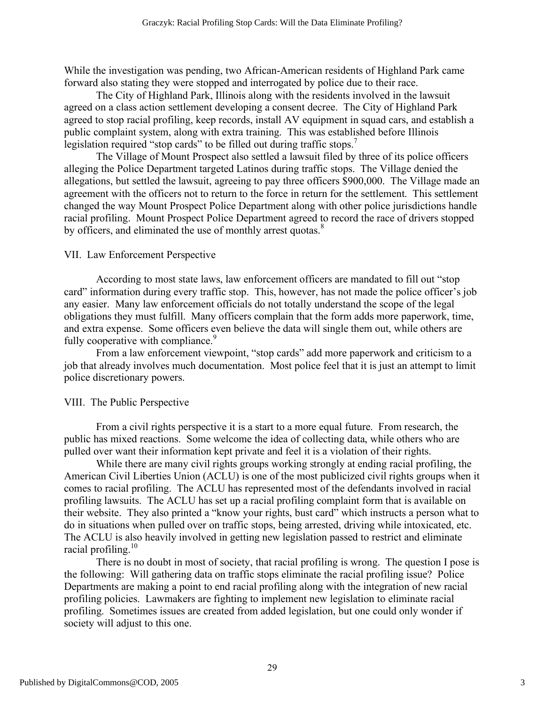While the investigation was pending, two African-American residents of Highland Park came forward also stating they were stopped and interrogated by police due to their race.

The City of Highland Park, Illinois along with the residents involved in the lawsuit agreed on a class action settlement developing a consent decree. The City of Highland Park agreed to stop racial profiling, keep records, install AV equipment in squad cars, and establish a public complaint system, along with extra training. This was established before Illinois legislation required "stop cards" to be filled out during traffic stops.<sup>7</sup>

The Village of Mount Prospect also settled a lawsuit filed by three of its police officers alleging the Police Department targeted Latinos during traffic stops. The Village denied the allegations, but settled the lawsuit, agreeing to pay three officers \$900,000. The Village made an agreement with the officers not to return to the force in return for the settlement. This settlement changed the way Mount Prospect Police Department along with other police jurisdictions handle racial profiling. Mount Prospect Police Department agreed to record the race of drivers stopped by officers, and eliminated the use of monthly arrest quotas.<sup>8</sup>

#### VII. Law Enforcement Perspective

According to most state laws, law enforcement officers are mandated to fill out "stop card" information during every traffic stop. This, however, has not made the police officer's job any easier. Many law enforcement officials do not totally understand the scope of the legal obligations they must fulfill. Many officers complain that the form adds more paperwork, time, and extra expense. Some officers even believe the data will single them out, while others are fully cooperative with compliance.<sup>9</sup>

From a law enforcement viewpoint, "stop cards" add more paperwork and criticism to a job that already involves much documentation. Most police feel that it is just an attempt to limit police discretionary powers.

# VIII. The Public Perspective

From a civil rights perspective it is a start to a more equal future. From research, the public has mixed reactions. Some welcome the idea of collecting data, while others who are pulled over want their information kept private and feel it is a violation of their rights.

While there are many civil rights groups working strongly at ending racial profiling, the American Civil Liberties Union (ACLU) is one of the most publicized civil rights groups when it comes to racial profiling. The ACLU has represented most of the defendants involved in racial profiling lawsuits. The ACLU has set up a racial profiling complaint form that is available on their website. They also printed a "know your rights, bust card" which instructs a person what to do in situations when pulled over on traffic stops, being arrested, driving while intoxicated, etc. The ACLU is also heavily involved in getting new legislation passed to restrict and eliminate racial profiling.<sup>10</sup>

There is no doubt in most of society, that racial profiling is wrong. The question I pose is the following: Will gathering data on traffic stops eliminate the racial profiling issue? Police Departments are making a point to end racial profiling along with the integration of new racial profiling policies. Lawmakers are fighting to implement new legislation to eliminate racial profiling. Sometimes issues are created from added legislation, but one could only wonder if society will adjust to this one.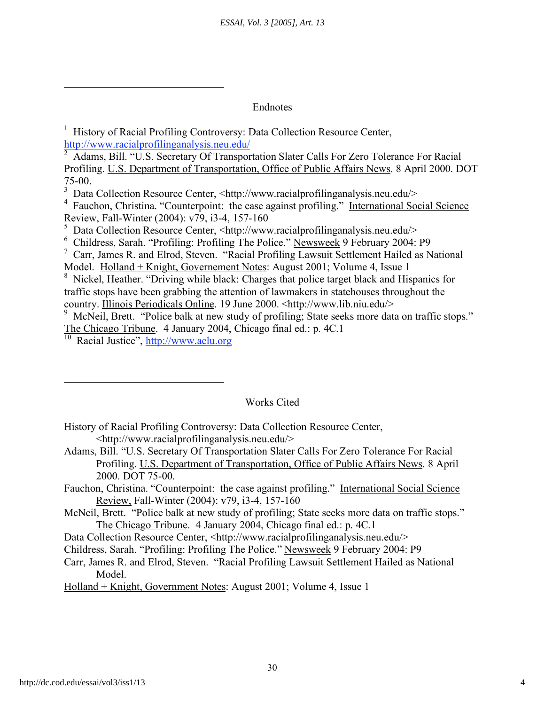#### Endnotes

<sup>1</sup> History of Racial Profiling Controversy: Data Collection Resource Center, http://www.racialprofilinganalysis.neu.edu/

<sup>2</sup> Adams, Bill. "U.S. Secretary Of Transportation Slater Calls For Zero Tolerance For Racial Profiling. U.S. Department of Transportation, Office of Public Affairs News. 8 April 2000. DOT 75-00.

<sup>3</sup> Data Collection Resource Center, <http://www.racialprofilinganalysis.neu.edu/>

<sup>4</sup> Fauchon, Christina. "Counterpoint: the case against profiling." International Social Science Review, Fall-Winter (2004): v79, i3-4, 157-160

 $\overline{\text{5}$  Data Collection Resource Center, <http://www.racialprofilinganalysis.neu.edu/>

<sup>6</sup> Childress, Sarah. "Profiling: Profiling The Police." Newsweek 9 February 2004: P9

 $\frac{7}{1}$  Carr, James R. and Elrod, Steven. "Racial Profiling Lawsuit Settlement Hailed as National Model. Holland + Knight, Governement Notes: August 2001; Volume 4, Issue 1

<sup>8</sup> Nickel, Heather. "Driving while black: Charges that police target black and Hispanics for traffic stops have been grabbing the attention of lawmakers in statehouses throughout the country. Illinois Periodicals Online. 19 June 2000. <http://www.lib.niu.edu/>

<sup>9</sup> McNeil, Brett. "Police balk at new study of profiling; State seeks more data on traffic stops." The Chicago Tribune. 4 January 2004, Chicago final ed.: p. 4C.1

<sup>10</sup> Racial Justice", http://www.aclu.org

# Works Cited

History of Racial Profiling Controversy: Data Collection Resource Center, <http://www.racialprofilinganalysis.neu.edu/>

Adams, Bill. "U.S. Secretary Of Transportation Slater Calls For Zero Tolerance For Racial Profiling. U.S. Department of Transportation, Office of Public Affairs News. 8 April 2000. DOT 75-00.

Fauchon, Christina. "Counterpoint: the case against profiling." International Social Science Review, Fall-Winter (2004): v79, i3-4, 157-160

- McNeil, Brett. "Police balk at new study of profiling; State seeks more data on traffic stops." The Chicago Tribune. 4 January 2004, Chicago final ed.: p. 4C.1
- Data Collection Resource Center, <http://www.racialprofilinganalysis.neu.edu/>

Childress, Sarah. "Profiling: Profiling The Police." Newsweek 9 February 2004: P9

Carr, James R. and Elrod, Steven. "Racial Profiling Lawsuit Settlement Hailed as National Model.

Holland + Knight, Government Notes: August 2001; Volume 4, Issue 1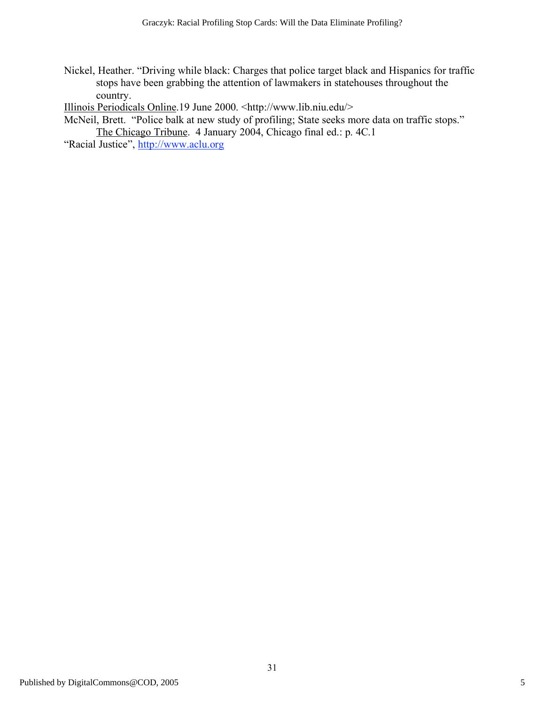Nickel, Heather. "Driving while black: Charges that police target black and Hispanics for traffic stops have been grabbing the attention of lawmakers in statehouses throughout the country.

Illinois Periodicals Online.19 June 2000. <http://www.lib.niu.edu/>

McNeil, Brett. "Police balk at new study of profiling; State seeks more data on traffic stops." The Chicago Tribune. 4 January 2004, Chicago final ed.: p. 4C.1

"Racial Justice", http://www.aclu.org